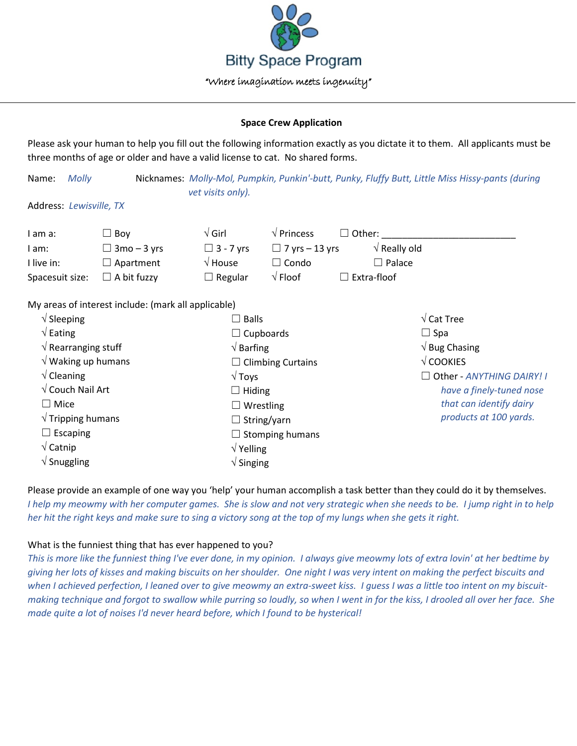

## **Space Crew Application**

Please ask your human to help you fill out the following information exactly as you dictate it to them. All applicants must be three months of age or older and have a valid license to cat. No shared forms.

Name: *Molly* Nicknames: *Molly-Mol, Pumpkin, Punkin'-butt, Punky, Fluffy Butt, Little Miss Hissy-pants (during vet visits only).*

Address: *Lewisville, TX*

| I am a:         | $\Box$ Bov         | $\sqrt{\mathsf{Girl}}$ | $\sqrt{\overline{P}}$ Princess<br>$\Box$ Other: $\Box$ |
|-----------------|--------------------|------------------------|--------------------------------------------------------|
| I am:           | $\Box$ 3mo – 3 yrs | $\Box$ 3 - 7 yrs       | $\sqrt{ }$ Really old<br>$\Box$ 7 yrs – 13 yrs         |
| I live in:      | $\Box$ Apartment   | $\sqrt{2}$ House       | $\Box$ Palace<br>$\sqcup$ Condo                        |
| Spacesuit size: | $\Box$ A bit fuzzy | $\Box$ Regular         | $\sqrt{}$ Floof<br>$\Box$ Extra-floof                  |

My areas of interest include: (mark all applicable)

| $\sqrt{\phantom{a}}$ Sleeping       | $\Box$ Balls                 | $\sqrt{\text{Cat} \text{Tree}}$                                               |
|-------------------------------------|------------------------------|-------------------------------------------------------------------------------|
| $\sqrt{\mathsf{Eating}}$            | $\Box$ Cupboards             | $\Box$ Spa                                                                    |
| $\sqrt{ }$ Rearranging stuff        | $\sqrt{B}$ Barfing           | $\sqrt{B}$ Bug Chasing                                                        |
| $\sqrt{}$ Waking up humans          | $\Box$ Climbing Curtains     | $\sqrt{\text{COOKIES}}$                                                       |
| $\sqrt{\frac{1}{2}}$ Cleaning       | $\sqrt{T}$ oys               | □ Other - ANYTHING DAIRY! I                                                   |
| $\sqrt{\phantom{a}}$ Couch Nail Art | $\Box$ Hiding                | have a finely-tuned nose<br>that can identify dairy<br>products at 100 yards. |
| $\Box$ Mice                         | $\Box$ Wrestling             |                                                                               |
| $\sqrt{}$ Tripping humans           | $\Box$ String/yarn           |                                                                               |
| Escaping<br>$\mathbf{I}$            | $\Box$ Stomping humans       |                                                                               |
| $\sqrt{\mathsf{Catnip}}$            | $\sqrt{Y}$ Yelling           |                                                                               |
| $\sqrt{\frac{1}{1}}$ Snuggling      | $\sqrt{\frac{1}{1}}$ Singing |                                                                               |

Please provide an example of one way you 'help' your human accomplish a task better than they could do it by themselves. *I help my meowmy with her computer games. She is slow and not very strategic when she needs to be. I jump right in to help her hit the right keys and make sure to sing a victory song at the top of my lungs when she gets it right.*

## What is the funniest thing that has ever happened to you?

*This is more like the funniest thing I've ever done, in my opinion. I always give meowmy lots of extra lovin' at her bedtime by giving her lots of kisses and making biscuits on her shoulder. One night I was very intent on making the perfect biscuits and when I achieved perfection, I leaned over to give meowmy an extra-sweet kiss. I guess I was a little too intent on my biscuitmaking technique and forgot to swallow while purring so loudly, so when I went in for the kiss, I drooled all over her face. She made quite a lot of noises I'd never heard before, which I found to be hysterical!*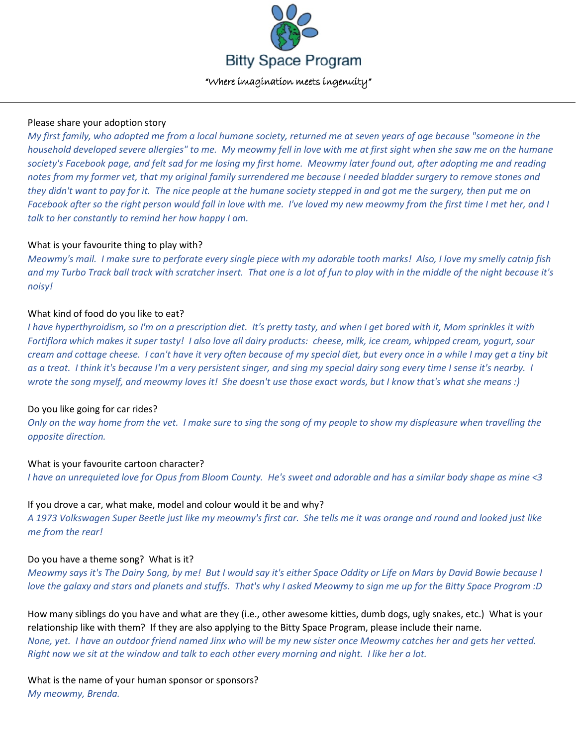

## Please share your adoption story

*My first family, who adopted me from a local humane society, returned me at seven years of age because "someone in the household developed severe allergies" to me. My meowmy fell in love with me at first sight when she saw me on the humane society's Facebook page, and felt sad for me losing my first home. Meowmy later found out, after adopting me and reading notes from my former vet, that my original family surrendered me because I needed bladder surgery to remove stones and they didn't want to pay for it. The nice people at the humane society stepped in and got me the surgery, then put me on Facebook after so the right person would fall in love with me. I've loved my new meowmy from the first time I met her, and I talk to her constantly to remind her how happy I am.*

## What is your favourite thing to play with?

*Meowmy's mail. I make sure to perforate every single piece with my adorable tooth marks! Also, I love my smelly catnip fish and my Turbo Track ball track with scratcher insert. That one is a lot of fun to play with in the middle of the night because it's noisy!*

# What kind of food do you like to eat?

*I have hyperthyroidism, so I'm on a prescription diet. It's pretty tasty, and when I get bored with it, Mom sprinkles it with Fortiflora which makes it super tasty! I also love all dairy products: cheese, milk, ice cream, whipped cream, yogurt, sour cream and cottage cheese. I can't have it very often because of my special diet, but every once in a while I may get a tiny bit as a treat. I think it's because I'm a very persistent singer, and sing my special dairy song every time I sense it's nearby. I wrote the song myself, and meowmy loves it! She doesn't use those exact words, but I know that's what she means :)*

# Do you like going for car rides?

*Only on the way home from the vet. I make sure to sing the song of my people to show my displeasure when travelling the opposite direction.*

# What is your favourite cartoon character?

*I have an unrequieted love for Opus from Bloom County. He's sweet and adorable and has a similar body shape as mine <3*

## If you drove a car, what make, model and colour would it be and why?

*A 1973 Volkswagen Super Beetle just like my meowmy's first car. She tells me it was orange and round and looked just like me from the rear!*

## Do you have a theme song? What is it?

*Meowmy says it's The Dairy Song, by me! But I would say it's either Space Oddity or Life on Mars by David Bowie because I love the galaxy and stars and planets and stuffs. That's why I asked Meowmy to sign me up for the Bitty Space Program :D*

How many siblings do you have and what are they (i.e., other awesome kitties, dumb dogs, ugly snakes, etc.) What is your relationship like with them? If they are also applying to the Bitty Space Program, please include their name. *None, yet. I have an outdoor friend named Jinx who will be my new sister once Meowmy catches her and gets her vetted. Right now we sit at the window and talk to each other every morning and night. I like her a lot.*

What is the name of your human sponsor or sponsors? *My meowmy, Brenda.*